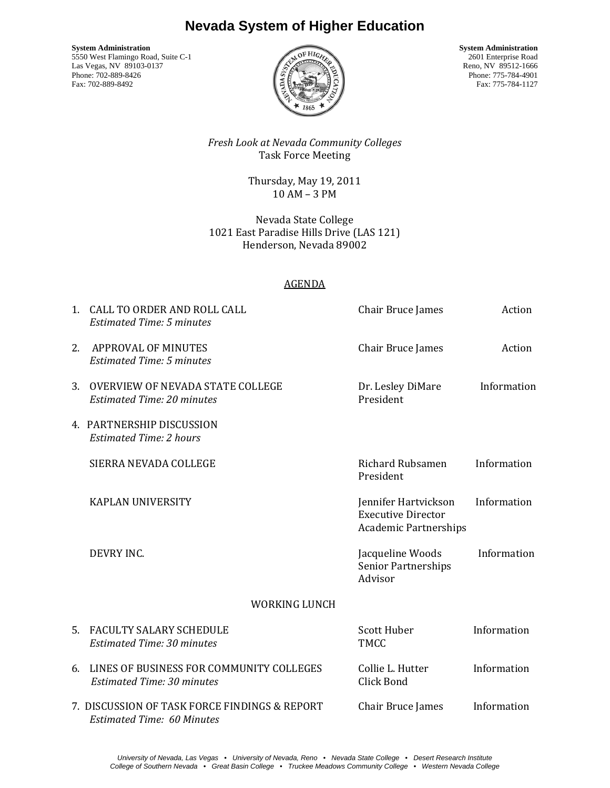## **Nevada System of Higher Education**

**System Administration**<br>5550 West Flamingo Road Suite C-1 2601 Enterprise Road Suite C-1 2601 Enterprise Road 5550 West Flamingo Road, Suite C-1 2601 Enterprise Road<br>Las Vegas, NV 89103-0137 Reno, NV 89512-1666 Las Vegas, NV 89103-0137<br>Phone: 702-889-8426 Phone: 702-889-8426 Phone: 775-784-4901



Fax: 775-784-1127

*Fresh Look at Nevada Community Colleges*  Task Force Meeting

> Thursday, May 19, 2011 10 AM – 3 PM

Nevada State College 1021 East Paradise Hills Drive (LAS 121) Henderson, Nevada 89002

## AGENDA

|    | 1. CALL TO ORDER AND ROLL CALL<br><b>Estimated Time: 5 minutes</b>                 | Chair Bruce James                                                                 | Action      |
|----|------------------------------------------------------------------------------------|-----------------------------------------------------------------------------------|-------------|
| 2. | <b>APPROVAL OF MINUTES</b><br><b>Estimated Time: 5 minutes</b>                     | Chair Bruce James                                                                 | Action      |
| 3. | <b>OVERVIEW OF NEVADA STATE COLLEGE</b><br><b>Estimated Time: 20 minutes</b>       | Dr. Lesley DiMare<br>President                                                    | Information |
|    | 4. PARTNERSHIP DISCUSSION<br><b>Estimated Time: 2 hours</b>                        |                                                                                   |             |
|    | SIERRA NEVADA COLLEGE                                                              | <b>Richard Rubsamen</b><br>President                                              | Information |
|    | KAPLAN UNIVERSITY                                                                  | Jennifer Hartvickson<br><b>Executive Director</b><br><b>Academic Partnerships</b> | Information |
|    | DEVRY INC.                                                                         | Jacqueline Woods<br><b>Senior Partnerships</b><br>Advisor                         | Information |
|    | <b>WORKING LUNCH</b>                                                               |                                                                                   |             |
|    | 5. FACULTY SALARY SCHEDULE<br><b>Estimated Time: 30 minutes</b>                    | Scott Huber<br><b>TMCC</b>                                                        | Information |
| 6. | LINES OF BUSINESS FOR COMMUNITY COLLEGES<br><b>Estimated Time: 30 minutes</b>      | Collie L. Hutter<br>Click Bond                                                    | Information |
|    | 7. DISCUSSION OF TASK FORCE FINDINGS & REPORT<br><b>Estimated Time: 60 Minutes</b> | Chair Bruce James                                                                 | Information |